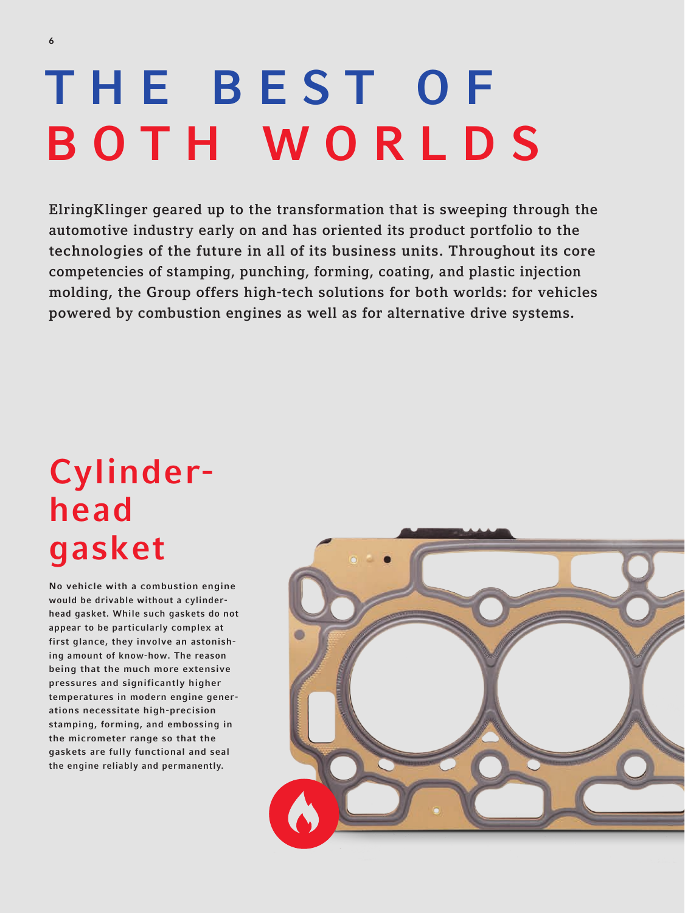# THE BEST OF BOTH WORLDS

ElringKlinger geared up to the transformation that is sweeping through the automotive industry early on and has oriented its product portfolio to the technologies of the future in all of its business units. Throughout its core competencies of stamping, punching, forming, coating, and plastic injection molding, the Group offers high-tech solutions for both worlds: for vehicles powered by combustion engines as well as for alternative drive systems.

# Cylinderhead gasket

No vehicle with a combustion engine would be drivable without a cylinderhead gasket. While such gaskets do not appear to be particularly complex at first glance, they involve an astonishing amount of know-how. The reason being that the much more extensive pressures and significantly higher temperatures in modern engine generations necessitate high-precision stamping, forming, and embossing in the micrometer range so that the gaskets are fully functional and seal the engine reliably and permanently.

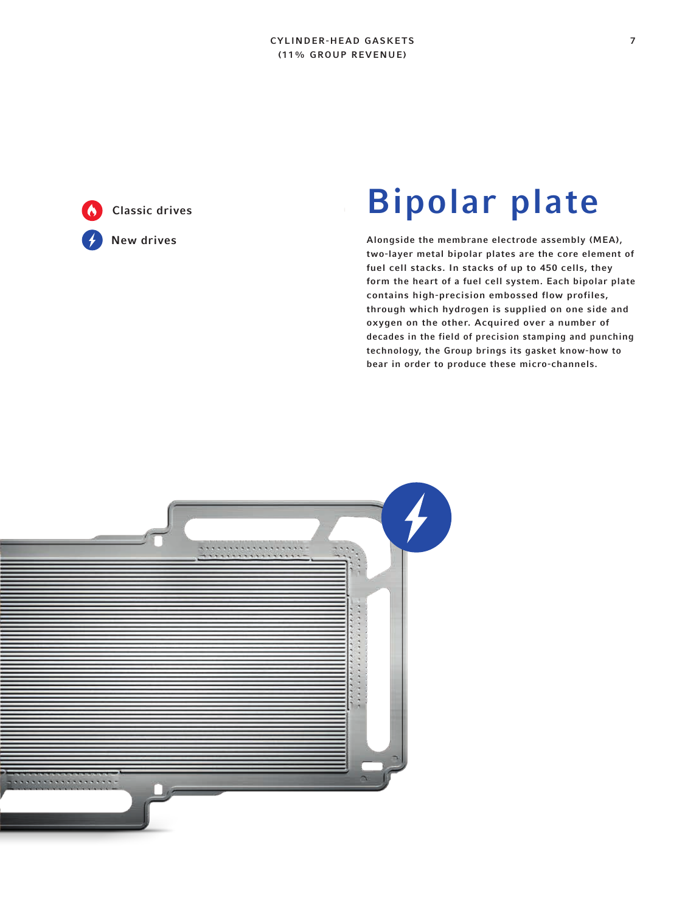#### CYLINDER-HEAD GASKETS (11% GROUP REVENUE)

Classic drives New drives

# Bipolar plate

Alongside the membrane electrode assembly (MEA), two-layer metal bipolar plates are the core element of fuel cell stacks. In stacks of up to 450 cells, they form the heart of a fuel cell system. Each bipolar plate contains high-precision embossed flow profiles, through which hydrogen is supplied on one side and oxygen on the other. Acquired over a number of decades in the field of precision stamping and punching technology, the Group brings its gasket know-how to bear in order to produce these micro-channels.

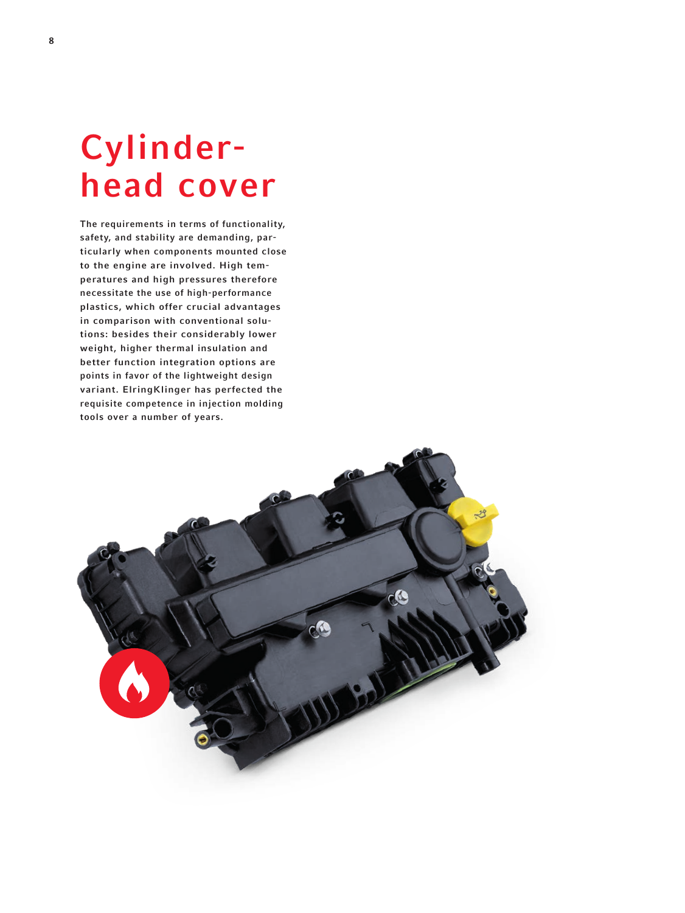# Cylinderhead cover

The requirements in terms of functionality, safety, and stability are demanding, particularly when components mounted close to the engine are involved. High temperatures and high pressures therefore necessitate the use of high-performance plastics, which offer crucial advantages in comparison with conventional solutions: besides their considerably lower weight, higher thermal insulation and better function integration options are points in favor of the lightweight design variant. ElringKlinger has perfected the requisite competence in injection molding tools over a number of years.

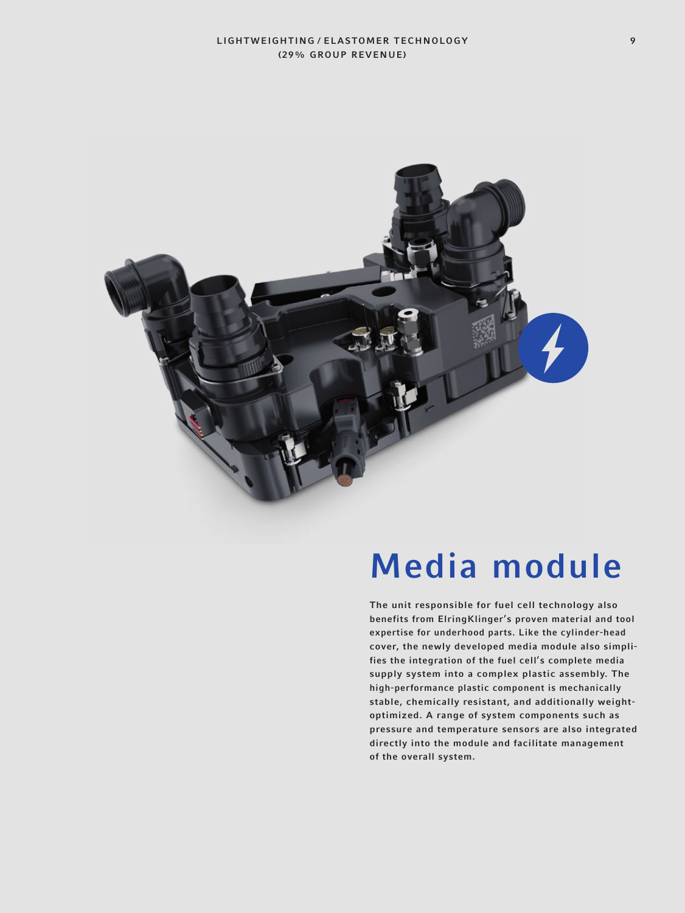

### Media module

The unit responsible for fuel cell technology also benefits from ElringKlinger's proven material and tool expertise for underhood parts. Like the cylinder-head cover, the newly developed media module also simplifies the integration of the fuel cell's complete media supply system into a complex plastic assembly. The high-performance plastic component is mechanically stable, chemically resistant, and additionally weightoptimized. A range of system components such as pressure and temperature sensors are also integrated directly into the module and facilitate management of the overall system.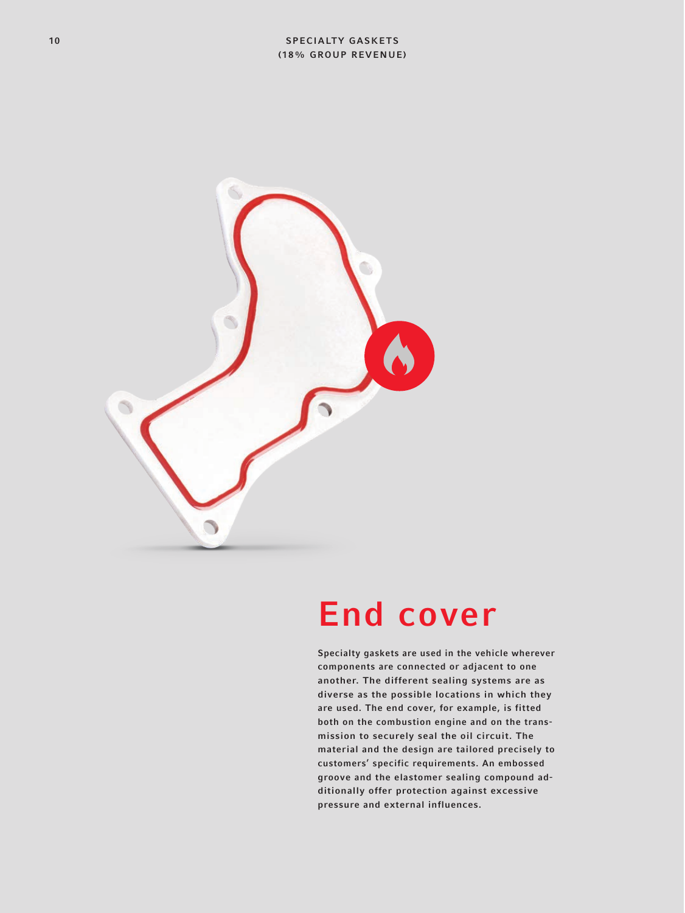

#### End cover

Specialty gaskets are used in the vehicle wherever components are connected or adjacent to one another. The different sealing systems are as diverse as the possible locations in which they are used. The end cover, for example, is fitted both on the combustion engine and on the transmission to securely seal the oil circuit. The material and the design are tailored precisely to customers' specific requirements. An embossed groove and the elastomer sealing compound additionally offer protection against excessive pressure and external influences.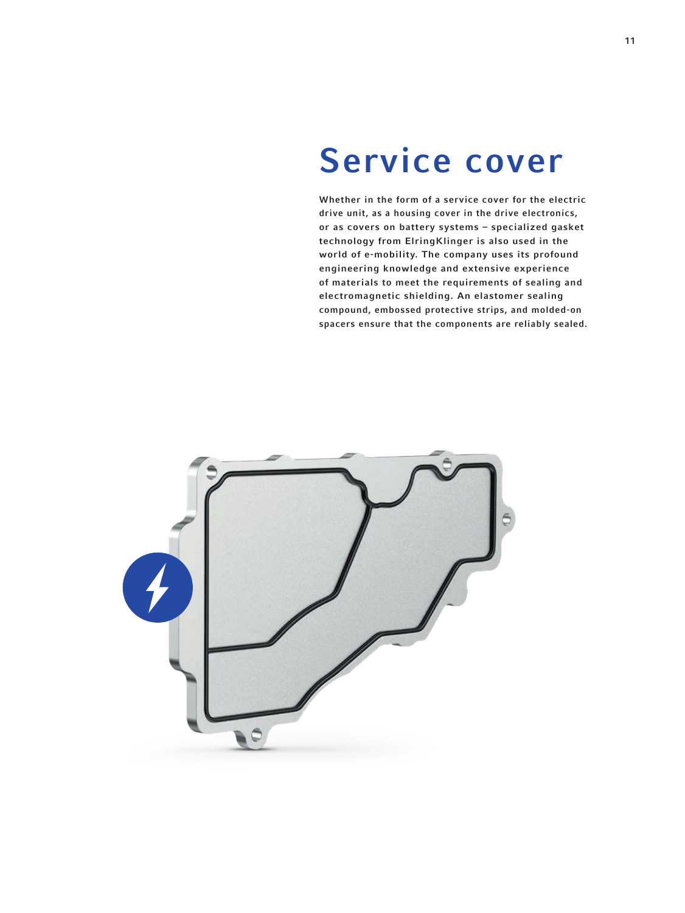#### Service cover

Whether in the form of a service cover for the electric drive unit, as a housing cover in the drive electronics, or as covers on battery systems – specialized gasket technology from ElringKlinger is also used in the world of e-mobility. The company uses its profound engineering knowledge and extensive experience of materials to meet the requirements of sealing and electromagnetic shielding. An elastomer sealing compound, embossed protective strips, and molded-on spacers ensure that the components are reliably sealed.

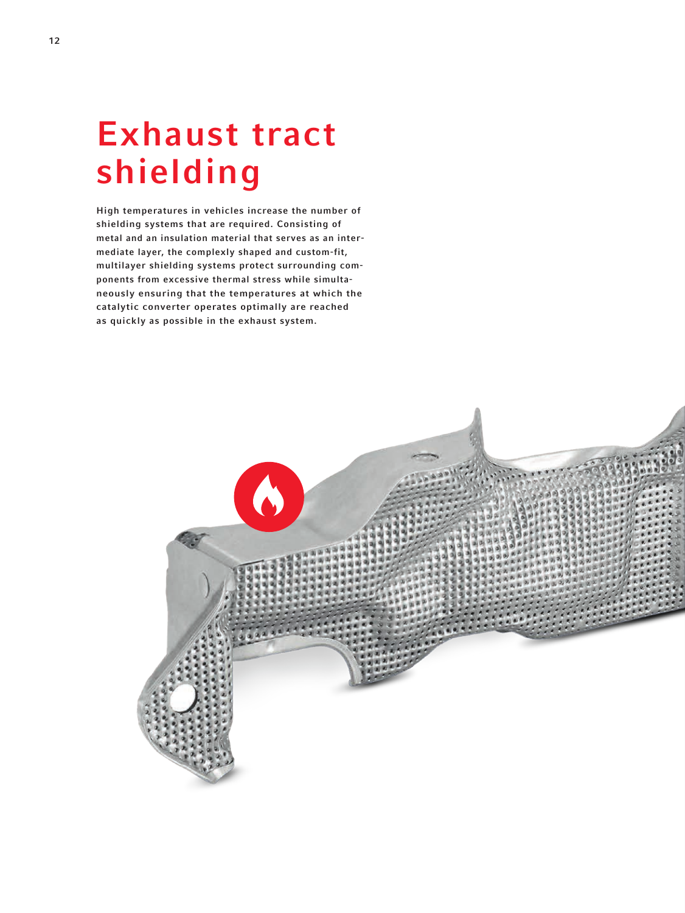# Exhaust tract shielding

High temperatures in vehicles increase the number of shielding systems that are required. Consisting of metal and an insulation material that serves as an intermediate layer, the complexly shaped and custom-fit, multilayer shielding systems protect surrounding components from excessive thermal stress while simultaneously ensuring that the temperatures at which the catalytic converter operates optimally are reached as quickly as possible in the exhaust system.